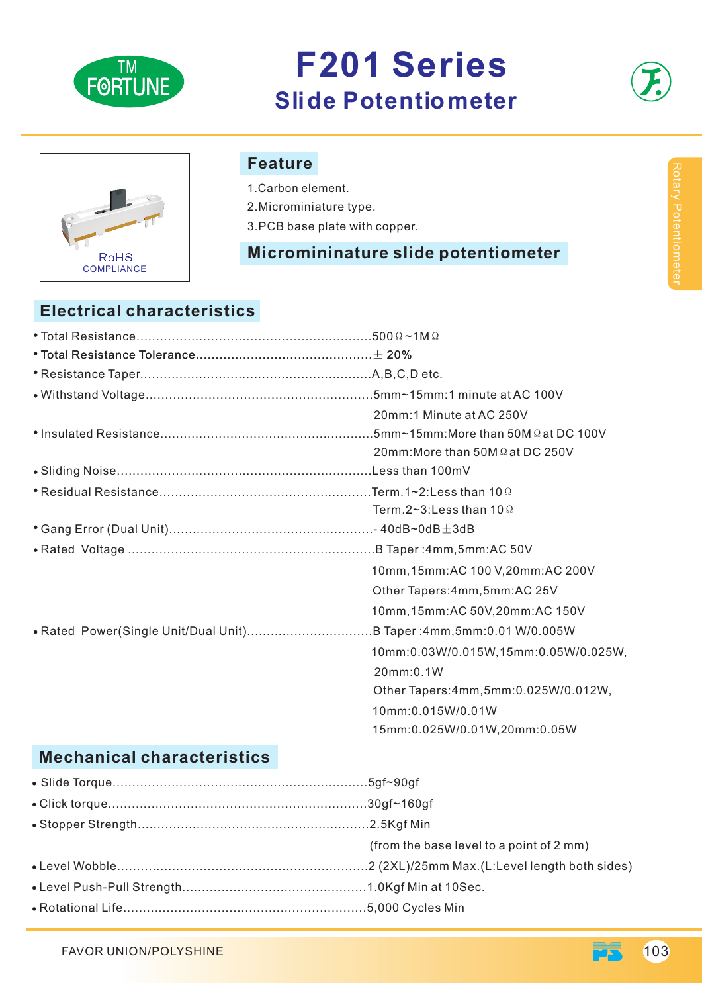

## **F201 Series Slide Potentiometer**



# RoHS COMPLIANCE

#### **Feature**

1.Carbon element.

2.Microminiature type.

3.PCB base plate with copper.

#### **Micromininature slide potentiometer**

### **Electrical characteristics**

|  | 20mm:1 Minute at AC 250V                |
|--|-----------------------------------------|
|  |                                         |
|  | 20mm: More than 50M $\Omega$ at DC 250V |
|  |                                         |
|  |                                         |
|  | Term.2~3: Less than 10 $\Omega$         |
|  |                                         |
|  |                                         |
|  | 10mm, 15mm: AC 100 V, 20mm: AC 200V     |
|  | Other Tapers: 4mm, 5mm: AC 25V          |
|  | 10mm, 15mm: AC 50V, 20mm: AC 150V       |
|  |                                         |
|  | 10mm:0.03W/0.015W,15mm:0.05W/0.025W,    |
|  | 20mm:0.1W                               |
|  | Other Tapers: 4mm, 5mm: 0.025W/0.012W,  |
|  | 10mm:0.015W/0.01W                       |
|  | 15mm:0.025W/0.01W,20mm:0.05W            |
|  |                                         |

### **Mechanical characteristics**

| (from the base level to a point of 2 mm) |
|------------------------------------------|
|                                          |
|                                          |
|                                          |